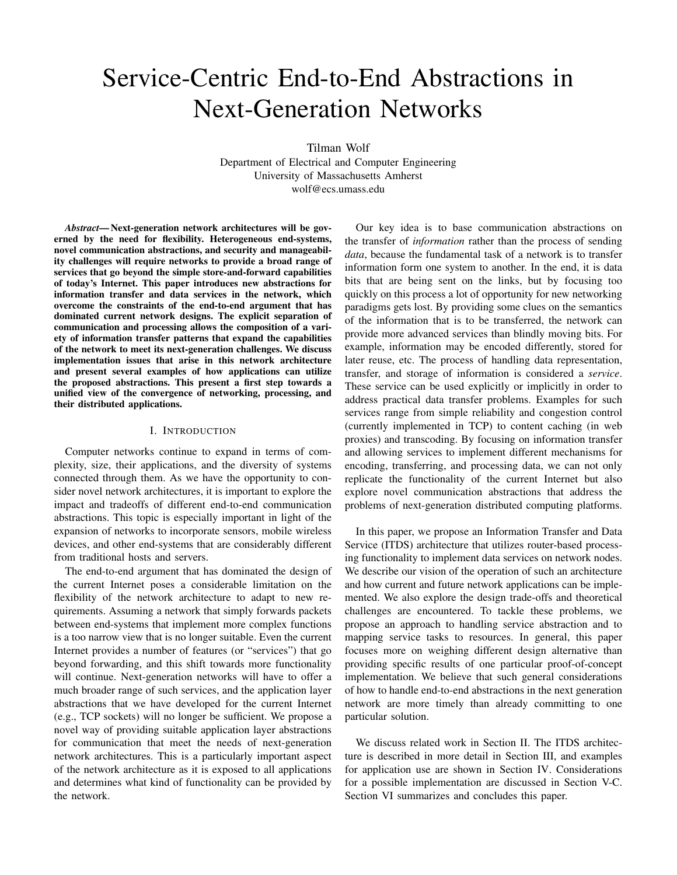# Service-Centric End-to-End Abstractions in Next-Generation Networks

Tilman Wolf

Department of Electrical and Computer Engineering University of Massachusetts Amherst wolf@ecs.umass.edu

*Abstract***— Next-generation network architectures will be governed by the need for flexibility. Heterogeneous end-systems, novel communication abstractions, and security and manageability challenges will require networks to provide a broad range of services that go beyond the simple store-and-forward capabilities of today's Internet. This paper introduces new abstractions for information transfer and data services in the network, which overcome the constraints of the end-to-end argument that has dominated current network designs. The explicit separation of communication and processing allows the composition of a variety of information transfer patterns that expand the capabilities of the network to meet its next-generation challenges. We discuss implementation issues that arise in this network architecture and present several examples of how applications can utilize the proposed abstractions. This present a first step towards a unified view of the convergence of networking, processing, and their distributed applications.**

# I. INTRODUCTION

Computer networks continue to expand in terms of complexity, size, their applications, and the diversity of systems connected through them. As we have the opportunity to consider novel network architectures, it is important to explore the impact and tradeoffs of different end-to-end communication abstractions. This topic is especially important in light of the expansion of networks to incorporate sensors, mobile wireless devices, and other end-systems that are considerably different from traditional hosts and servers.

The end-to-end argument that has dominated the design of the current Internet poses a considerable limitation on the flexibility of the network architecture to adapt to new requirements. Assuming a network that simply forwards packets between end-systems that implement more complex functions is a too narrow view that is no longer suitable. Even the current Internet provides a number of features (or "services") that go beyond forwarding, and this shift towards more functionality will continue. Next-generation networks will have to offer a much broader range of such services, and the application layer abstractions that we have developed for the current Internet (e.g., TCP sockets) will no longer be sufficient. We propose a novel way of providing suitable application layer abstractions for communication that meet the needs of next-generation network architectures. This is a particularly important aspect of the network architecture as it is exposed to all applications and determines what kind of functionality can be provided by the network.

Our key idea is to base communication abstractions on the transfer of *information* rather than the process of sending *data*, because the fundamental task of a network is to transfer information form one system to another. In the end, it is data bits that are being sent on the links, but by focusing too quickly on this process a lot of opportunity for new networking paradigms gets lost. By providing some clues on the semantics of the information that is to be transferred, the network can provide more advanced services than blindly moving bits. For example, information may be encoded differently, stored for later reuse, etc. The process of handling data representation, transfer, and storage of information is considered a *service*. These service can be used explicitly or implicitly in order to address practical data transfer problems. Examples for such services range from simple reliability and congestion control (currently implemented in TCP) to content caching (in web proxies) and transcoding. By focusing on information transfer and allowing services to implement different mechanisms for encoding, transferring, and processing data, we can not only replicate the functionality of the current Internet but also explore novel communication abstractions that address the problems of next-generation distributed computing platforms.

In this paper, we propose an Information Transfer and Data Service (ITDS) architecture that utilizes router-based processing functionality to implement data services on network nodes. We describe our vision of the operation of such an architecture and how current and future network applications can be implemented. We also explore the design trade-offs and theoretical challenges are encountered. To tackle these problems, we propose an approach to handling service abstraction and to mapping service tasks to resources. In general, this paper focuses more on weighing different design alternative than providing specific results of one particular proof-of-concept implementation. We believe that such general considerations of how to handle end-to-end abstractions in the next generation network are more timely than already committing to one particular solution.

We discuss related work in Section II. The ITDS architecture is described in more detail in Section III, and examples for application use are shown in Section IV. Considerations for a possible implementation are discussed in Section V-C. Section VI summarizes and concludes this paper.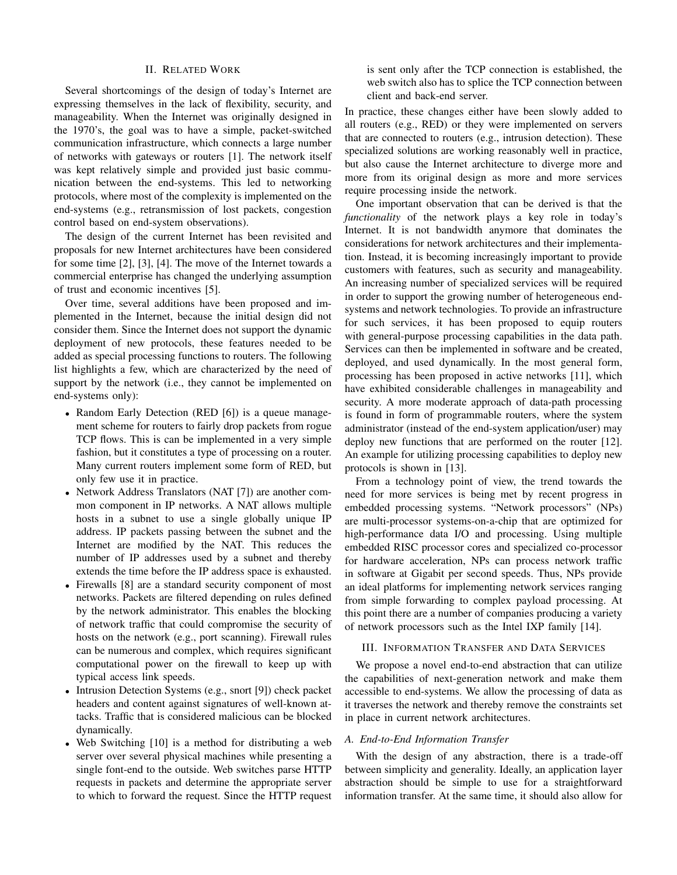#### II. RELATED WORK

Several shortcomings of the design of today's Internet are expressing themselves in the lack of flexibility, security, and manageability. When the Internet was originally designed in the 1970's, the goal was to have a simple, packet-switched communication infrastructure, which connects a large number of networks with gateways or routers [1]. The network itself was kept relatively simple and provided just basic communication between the end-systems. This led to networking protocols, where most of the complexity is implemented on the end-systems (e.g., retransmission of lost packets, congestion control based on end-system observations).

The design of the current Internet has been revisited and proposals for new Internet architectures have been considered for some time [2], [3], [4]. The move of the Internet towards a commercial enterprise has changed the underlying assumption of trust and economic incentives [5].

Over time, several additions have been proposed and implemented in the Internet, because the initial design did not consider them. Since the Internet does not support the dynamic deployment of new protocols, these features needed to be added as special processing functions to routers. The following list highlights a few, which are characterized by the need of support by the network (i.e., they cannot be implemented on end-systems only):

- Random Early Detection (RED [6]) is a queue management scheme for routers to fairly drop packets from rogue TCP flows. This is can be implemented in a very simple fashion, but it constitutes a type of processing on a router. Many current routers implement some form of RED, but only few use it in practice.
- *•* Network Address Translators (NAT [7]) are another common component in IP networks. A NAT allows multiple hosts in a subnet to use a single globally unique IP address. IP packets passing between the subnet and the Internet are modified by the NAT. This reduces the number of IP addresses used by a subnet and thereby extends the time before the IP address space is exhausted.
- *•* Firewalls [8] are a standard security component of most networks. Packets are filtered depending on rules defined by the network administrator. This enables the blocking of network traffic that could compromise the security of hosts on the network (e.g., port scanning). Firewall rules can be numerous and complex, which requires significant computational power on the firewall to keep up with typical access link speeds.
- *•* Intrusion Detection Systems (e.g., snort [9]) check packet headers and content against signatures of well-known attacks. Traffic that is considered malicious can be blocked dynamically.
- Web Switching [10] is a method for distributing a web server over several physical machines while presenting a single font-end to the outside. Web switches parse HTTP requests in packets and determine the appropriate server to which to forward the request. Since the HTTP request

is sent only after the TCP connection is established, the web switch also has to splice the TCP connection between client and back-end server.

In practice, these changes either have been slowly added to all routers (e.g., RED) or they were implemented on servers that are connected to routers (e.g., intrusion detection). These specialized solutions are working reasonably well in practice, but also cause the Internet architecture to diverge more and more from its original design as more and more services require processing inside the network.

One important observation that can be derived is that the *functionality* of the network plays a key role in today's Internet. It is not bandwidth anymore that dominates the considerations for network architectures and their implementation. Instead, it is becoming increasingly important to provide customers with features, such as security and manageability. An increasing number of specialized services will be required in order to support the growing number of heterogeneous endsystems and network technologies. To provide an infrastructure for such services, it has been proposed to equip routers with general-purpose processing capabilities in the data path. Services can then be implemented in software and be created, deployed, and used dynamically. In the most general form, processing has been proposed in active networks [11], which have exhibited considerable challenges in manageability and security. A more moderate approach of data-path processing is found in form of programmable routers, where the system administrator (instead of the end-system application/user) may deploy new functions that are performed on the router [12]. An example for utilizing processing capabilities to deploy new protocols is shown in [13].

From a technology point of view, the trend towards the need for more services is being met by recent progress in embedded processing systems. "Network processors" (NPs) are multi-processor systems-on-a-chip that are optimized for high-performance data I/O and processing. Using multiple embedded RISC processor cores and specialized co-processor for hardware acceleration, NPs can process network traffic in software at Gigabit per second speeds. Thus, NPs provide an ideal platforms for implementing network services ranging from simple forwarding to complex payload processing. At this point there are a number of companies producing a variety of network processors such as the Intel IXP family [14].

# III. INFORMATION TRANSFER AND DATA SERVICES

We propose a novel end-to-end abstraction that can utilize the capabilities of next-generation network and make them accessible to end-systems. We allow the processing of data as it traverses the network and thereby remove the constraints set in place in current network architectures.

# *A. End-to-End Information Transfer*

With the design of any abstraction, there is a trade-off between simplicity and generality. Ideally, an application layer abstraction should be simple to use for a straightforward information transfer. At the same time, it should also allow for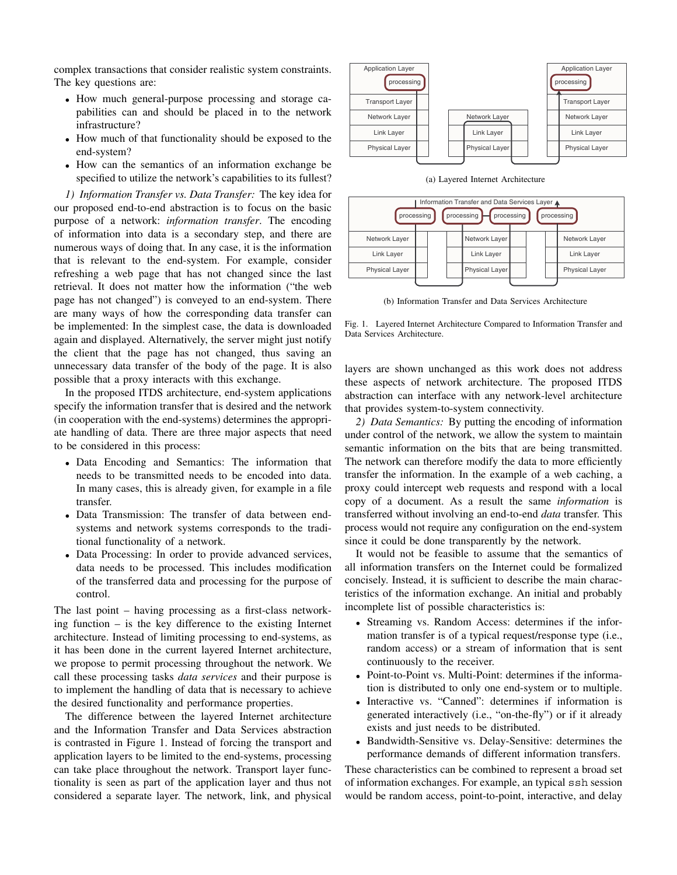complex transactions that consider realistic system constraints. The key questions are:

- *•* How much general-purpose processing and storage capabilities can and should be placed in to the network infrastructure?
- *•* How much of that functionality should be exposed to the end-system?
- *•* How can the semantics of an information exchange be specified to utilize the network's capabilities to its fullest?

*1) Information Transfer vs. Data Transfer:* The key idea for our proposed end-to-end abstraction is to focus on the basic purpose of a network: *information transfer*. The encoding of information into data is a secondary step, and there are numerous ways of doing that. In any case, it is the information that is relevant to the end-system. For example, consider refreshing a web page that has not changed since the last retrieval. It does not matter how the information ("the web page has not changed") is conveyed to an end-system. There are many ways of how the corresponding data transfer can be implemented: In the simplest case, the data is downloaded again and displayed. Alternatively, the server might just notify the client that the page has not changed, thus saving an unnecessary data transfer of the body of the page. It is also possible that a proxy interacts with this exchange.

In the proposed ITDS architecture, end-system applications specify the information transfer that is desired and the network (in cooperation with the end-systems) determines the appropriate handling of data. There are three major aspects that need to be considered in this process:

- *•* Data Encoding and Semantics: The information that needs to be transmitted needs to be encoded into data. In many cases, this is already given, for example in a file transfer.
- *•* Data Transmission: The transfer of data between endsystems and network systems corresponds to the traditional functionality of a network.
- *•* Data Processing: In order to provide advanced services, data needs to be processed. This includes modification of the transferred data and processing for the purpose of control.

The last point – having processing as a first-class networking function – is the key difference to the existing Internet architecture. Instead of limiting processing to end-systems, as it has been done in the current layered Internet architecture, we propose to permit processing throughout the network. We call these processing tasks *data services* and their purpose is to implement the handling of data that is necessary to achieve the desired functionality and performance properties.

The difference between the layered Internet architecture and the Information Transfer and Data Services abstraction is contrasted in Figure 1. Instead of forcing the transport and application layers to be limited to the end-systems, processing can take place throughout the network. Transport layer functionality is seen as part of the application layer and thus not considered a separate layer. The network, link, and physical



(a) Layered Internet Architecture



(b) Information Transfer and Data Services Architecture

Fig. 1. Layered Internet Architecture Compared to Information Transfer and Data Services Architecture.

layers are shown unchanged as this work does not address these aspects of network architecture. The proposed ITDS abstraction can interface with any network-level architecture that provides system-to-system connectivity.

*2) Data Semantics:* By putting the encoding of information under control of the network, we allow the system to maintain semantic information on the bits that are being transmitted. The network can therefore modify the data to more efficiently transfer the information. In the example of a web caching, a proxy could intercept web requests and respond with a local copy of a document. As a result the same *information* is transferred without involving an end-to-end *data* transfer. This process would not require any configuration on the end-system since it could be done transparently by the network.

It would not be feasible to assume that the semantics of all information transfers on the Internet could be formalized concisely. Instead, it is sufficient to describe the main characteristics of the information exchange. An initial and probably incomplete list of possible characteristics is:

- *•* Streaming vs. Random Access: determines if the information transfer is of a typical request/response type (i.e., random access) or a stream of information that is sent continuously to the receiver.
- *•* Point-to-Point vs. Multi-Point: determines if the information is distributed to only one end-system or to multiple.
- Interactive vs. "Canned": determines if information is generated interactively (i.e., "on-the-fly") or if it already exists and just needs to be distributed.
- *•* Bandwidth-Sensitive vs. Delay-Sensitive: determines the performance demands of different information transfers.

These characteristics can be combined to represent a broad set of information exchanges. For example, an typical ssh session would be random access, point-to-point, interactive, and delay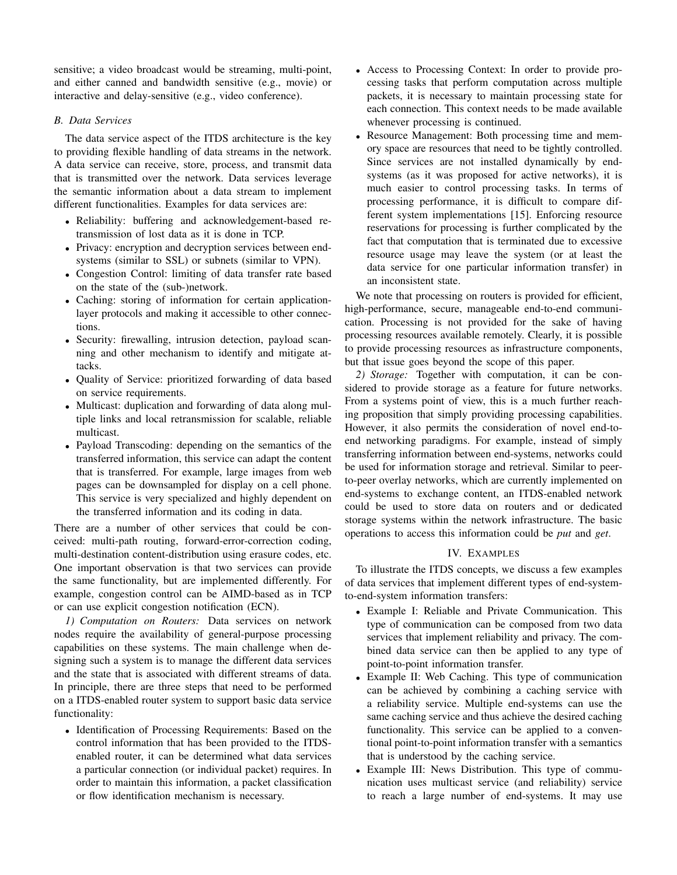sensitive; a video broadcast would be streaming, multi-point, and either canned and bandwidth sensitive (e.g., movie) or interactive and delay-sensitive (e.g., video conference).

# *B. Data Services*

The data service aspect of the ITDS architecture is the key to providing flexible handling of data streams in the network. A data service can receive, store, process, and transmit data that is transmitted over the network. Data services leverage the semantic information about a data stream to implement different functionalities. Examples for data services are:

- *•* Reliability: buffering and acknowledgement-based retransmission of lost data as it is done in TCP.
- *•* Privacy: encryption and decryption services between endsystems (similar to SSL) or subnets (similar to VPN).
- *•* Congestion Control: limiting of data transfer rate based on the state of the (sub-)network.
- Caching: storing of information for certain applicationlayer protocols and making it accessible to other connections.
- *•* Security: firewalling, intrusion detection, payload scanning and other mechanism to identify and mitigate attacks.
- *•* Quality of Service: prioritized forwarding of data based on service requirements.
- Multicast: duplication and forwarding of data along multiple links and local retransmission for scalable, reliable multicast.
- *•* Payload Transcoding: depending on the semantics of the transferred information, this service can adapt the content that is transferred. For example, large images from web pages can be downsampled for display on a cell phone. This service is very specialized and highly dependent on the transferred information and its coding in data.

There are a number of other services that could be conceived: multi-path routing, forward-error-correction coding, multi-destination content-distribution using erasure codes, etc. One important observation is that two services can provide the same functionality, but are implemented differently. For example, congestion control can be AIMD-based as in TCP or can use explicit congestion notification (ECN).

*1) Computation on Routers:* Data services on network nodes require the availability of general-purpose processing capabilities on these systems. The main challenge when designing such a system is to manage the different data services and the state that is associated with different streams of data. In principle, there are three steps that need to be performed on a ITDS-enabled router system to support basic data service functionality:

*•* Identification of Processing Requirements: Based on the control information that has been provided to the ITDSenabled router, it can be determined what data services a particular connection (or individual packet) requires. In order to maintain this information, a packet classification or flow identification mechanism is necessary.

- *•* Access to Processing Context: In order to provide processing tasks that perform computation across multiple packets, it is necessary to maintain processing state for each connection. This context needs to be made available whenever processing is continued.
- *•* Resource Management: Both processing time and memory space are resources that need to be tightly controlled. Since services are not installed dynamically by endsystems (as it was proposed for active networks), it is much easier to control processing tasks. In terms of processing performance, it is difficult to compare different system implementations [15]. Enforcing resource reservations for processing is further complicated by the fact that computation that is terminated due to excessive resource usage may leave the system (or at least the data service for one particular information transfer) in an inconsistent state.

We note that processing on routers is provided for efficient, high-performance, secure, manageable end-to-end communication. Processing is not provided for the sake of having processing resources available remotely. Clearly, it is possible to provide processing resources as infrastructure components, but that issue goes beyond the scope of this paper.

*2) Storage:* Together with computation, it can be considered to provide storage as a feature for future networks. From a systems point of view, this is a much further reaching proposition that simply providing processing capabilities. However, it also permits the consideration of novel end-toend networking paradigms. For example, instead of simply transferring information between end-systems, networks could be used for information storage and retrieval. Similar to peerto-peer overlay networks, which are currently implemented on end-systems to exchange content, an ITDS-enabled network could be used to store data on routers and or dedicated storage systems within the network infrastructure. The basic operations to access this information could be *put* and *get*.

## IV. EXAMPLES

To illustrate the ITDS concepts, we discuss a few examples of data services that implement different types of end-systemto-end-system information transfers:

- *•* Example I: Reliable and Private Communication. This type of communication can be composed from two data services that implement reliability and privacy. The combined data service can then be applied to any type of point-to-point information transfer.
- *•* Example II: Web Caching. This type of communication can be achieved by combining a caching service with a reliability service. Multiple end-systems can use the same caching service and thus achieve the desired caching functionality. This service can be applied to a conventional point-to-point information transfer with a semantics that is understood by the caching service.
- Example III: News Distribution. This type of communication uses multicast service (and reliability) service to reach a large number of end-systems. It may use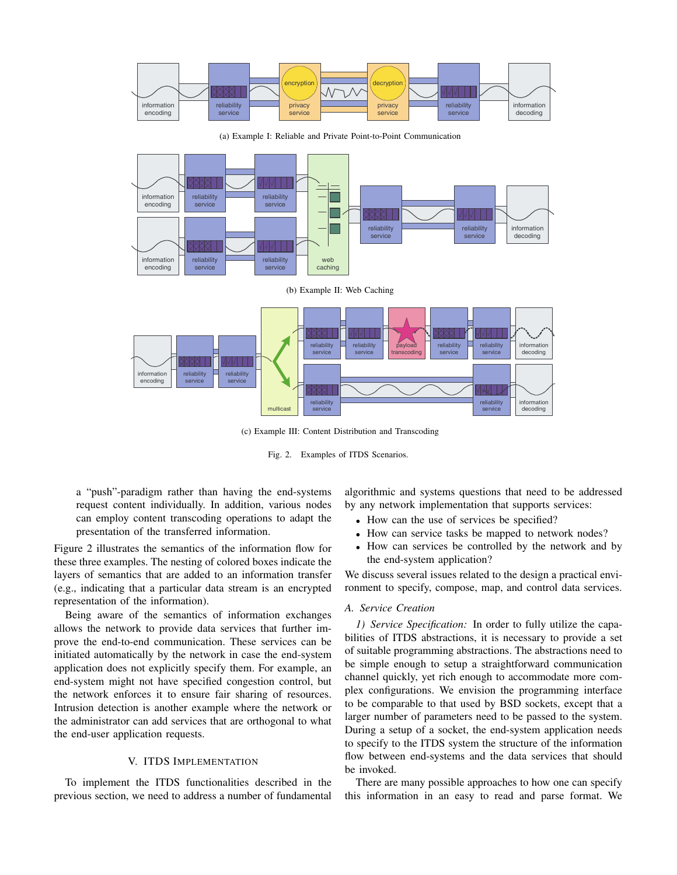

(a) Example I: Reliable and Private Point-to-Point Communication



(b) Example II: Web Caching



(c) Example III: Content Distribution and Transcoding

Fig. 2. Examples of ITDS Scenarios.

a "push"-paradigm rather than having the end-systems request content individually. In addition, various nodes can employ content transcoding operations to adapt the presentation of the transferred information.

Figure 2 illustrates the semantics of the information flow for these three examples. The nesting of colored boxes indicate the layers of semantics that are added to an information transfer (e.g., indicating that a particular data stream is an encrypted representation of the information).

Being aware of the semantics of information exchanges allows the network to provide data services that further improve the end-to-end communication. These services can be initiated automatically by the network in case the end-system application does not explicitly specify them. For example, an end-system might not have specified congestion control, but the network enforces it to ensure fair sharing of resources. Intrusion detection is another example where the network or the administrator can add services that are orthogonal to what the end-user application requests.

#### V. ITDS IMPLEMENTATION

To implement the ITDS functionalities described in the previous section, we need to address a number of fundamental

algorithmic and systems questions that need to be addressed by any network implementation that supports services:

- How can the use of services be specified?
- How can service tasks be mapped to network nodes?
- *•* How can services be controlled by the network and by the end-system application?

We discuss several issues related to the design a practical environment to specify, compose, map, and control data services.

#### *A. Service Creation*

*1) Service Specification:* In order to fully utilize the capabilities of ITDS abstractions, it is necessary to provide a set of suitable programming abstractions. The abstractions need to be simple enough to setup a straightforward communication channel quickly, yet rich enough to accommodate more complex configurations. We envision the programming interface to be comparable to that used by BSD sockets, except that a larger number of parameters need to be passed to the system. During a setup of a socket, the end-system application needs to specify to the ITDS system the structure of the information flow between end-systems and the data services that should be invoked.

There are many possible approaches to how one can specify this information in an easy to read and parse format. We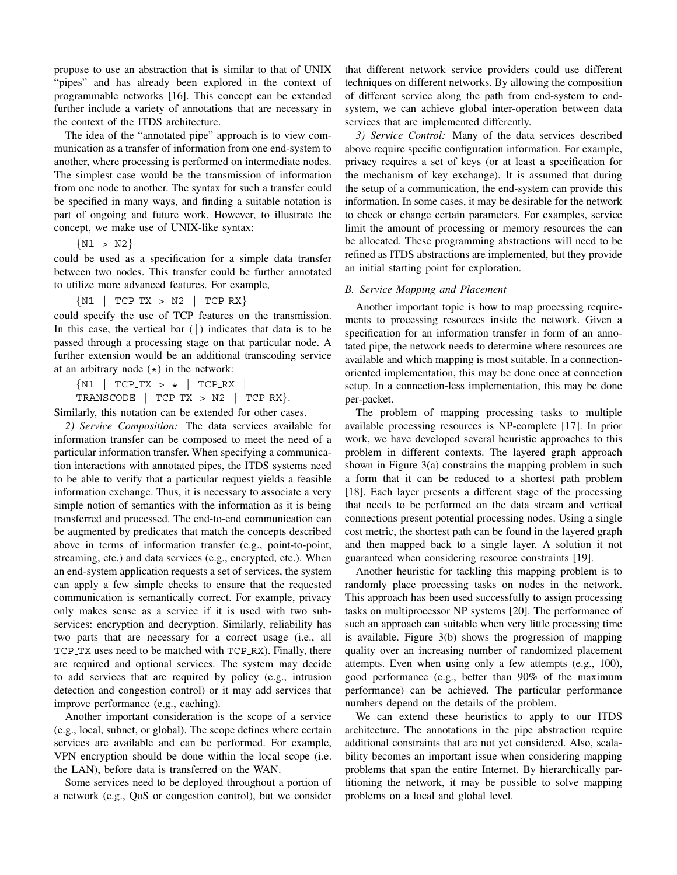propose to use an abstraction that is similar to that of UNIX "pipes" and has already been explored in the context of programmable networks [16]. This concept can be extended further include a variety of annotations that are necessary in the context of the ITDS architecture.

The idea of the "annotated pipe" approach is to view communication as a transfer of information from one end-system to another, where processing is performed on intermediate nodes. The simplest case would be the transmission of information from one node to another. The syntax for such a transfer could be specified in many ways, and finding a suitable notation is part of ongoing and future work. However, to illustrate the concept, we make use of UNIX-like syntax:

*{*N1 > N2*}*

could be used as a specification for a simple data transfer between two nodes. This transfer could be further annotated to utilize more advanced features. For example,

$$
\{N1 \mid TCP_TX > N2 \mid TCP_RX\}
$$

could specify the use of TCP features on the transmission. In this case, the vertical bar  $(|)$  indicates that data is to be passed through a processing stage on that particular node. A further extension would be an additional transcoding service at an arbitrary node  $(*)$  in the network:

*{*N1 | TCP TX > \* | TCP RX | TRANSCODE | TCP TX > N2 | TCP RX*}*.

Similarly, this notation can be extended for other cases.

*2) Service Composition:* The data services available for information transfer can be composed to meet the need of a particular information transfer. When specifying a communication interactions with annotated pipes, the ITDS systems need to be able to verify that a particular request yields a feasible information exchange. Thus, it is necessary to associate a very simple notion of semantics with the information as it is being transferred and processed. The end-to-end communication can be augmented by predicates that match the concepts described above in terms of information transfer (e.g., point-to-point, streaming, etc.) and data services (e.g., encrypted, etc.). When an end-system application requests a set of services, the system can apply a few simple checks to ensure that the requested communication is semantically correct. For example, privacy only makes sense as a service if it is used with two subservices: encryption and decryption. Similarly, reliability has two parts that are necessary for a correct usage (i.e., all TCP\_TX uses need to be matched with TCP\_RX). Finally, there are required and optional services. The system may decide to add services that are required by policy (e.g., intrusion detection and congestion control) or it may add services that improve performance (e.g., caching).

Another important consideration is the scope of a service (e.g., local, subnet, or global). The scope defines where certain services are available and can be performed. For example, VPN encryption should be done within the local scope (i.e. the LAN), before data is transferred on the WAN.

Some services need to be deployed throughout a portion of a network (e.g., QoS or congestion control), but we consider that different network service providers could use different techniques on different networks. By allowing the composition of different service along the path from end-system to endsystem, we can achieve global inter-operation between data services that are implemented differently.

*3) Service Control:* Many of the data services described above require specific configuration information. For example, privacy requires a set of keys (or at least a specification for the mechanism of key exchange). It is assumed that during the setup of a communication, the end-system can provide this information. In some cases, it may be desirable for the network to check or change certain parameters. For examples, service limit the amount of processing or memory resources the can be allocated. These programming abstractions will need to be refined as ITDS abstractions are implemented, but they provide an initial starting point for exploration.

### *B. Service Mapping and Placement*

Another important topic is how to map processing requirements to processing resources inside the network. Given a specification for an information transfer in form of an annotated pipe, the network needs to determine where resources are available and which mapping is most suitable. In a connectionoriented implementation, this may be done once at connection setup. In a connection-less implementation, this may be done per-packet.

The problem of mapping processing tasks to multiple available processing resources is NP-complete [17]. In prior work, we have developed several heuristic approaches to this problem in different contexts. The layered graph approach shown in Figure 3(a) constrains the mapping problem in such a form that it can be reduced to a shortest path problem [18]. Each layer presents a different stage of the processing that needs to be performed on the data stream and vertical connections present potential processing nodes. Using a single cost metric, the shortest path can be found in the layered graph and then mapped back to a single layer. A solution it not guaranteed when considering resource constraints [19].

Another heuristic for tackling this mapping problem is to randomly place processing tasks on nodes in the network. This approach has been used successfully to assign processing tasks on multiprocessor NP systems [20]. The performance of such an approach can suitable when very little processing time is available. Figure 3(b) shows the progression of mapping quality over an increasing number of randomized placement attempts. Even when using only a few attempts (e.g., 100), good performance (e.g., better than 90% of the maximum performance) can be achieved. The particular performance numbers depend on the details of the problem.

We can extend these heuristics to apply to our ITDS architecture. The annotations in the pipe abstraction require additional constraints that are not yet considered. Also, scalability becomes an important issue when considering mapping problems that span the entire Internet. By hierarchically partitioning the network, it may be possible to solve mapping problems on a local and global level.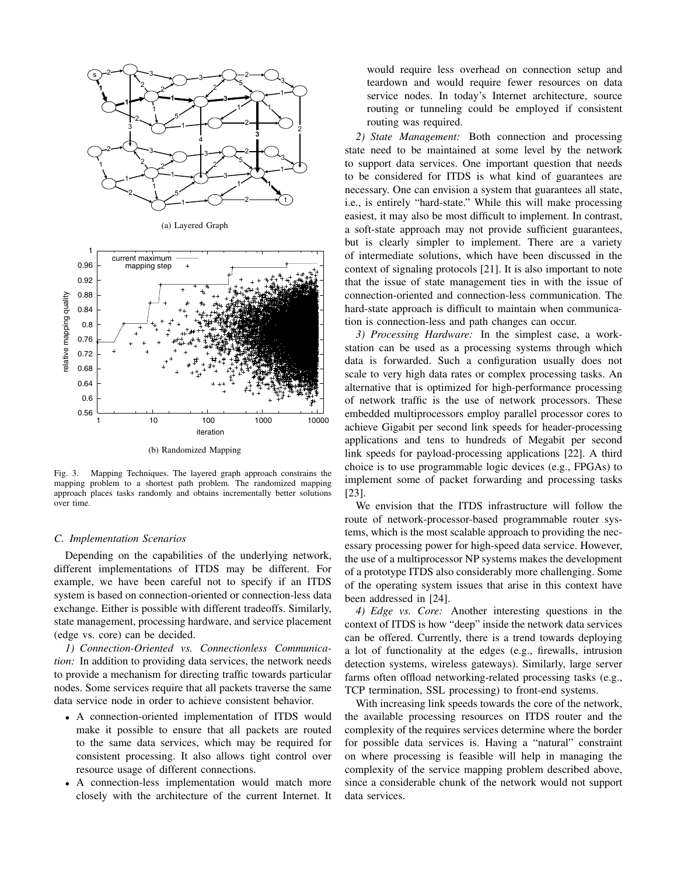

(b) Randomized Mapping

Fig. 3. Mapping Techniques. The layered graph approach constrains the mapping problem to a shortest path problem. The randomized mapping approach places tasks randomly and obtains incrementally better solutions over time.

#### *C. Implementation Scenarios*

Depending on the capabilities of the underlying network, different implementations of ITDS may be different. For example, we have been careful not to specify if an ITDS system is based on connection-oriented or connection-less data exchange. Either is possible with different tradeoffs. Similarly, state management, processing hardware, and service placement (edge vs. core) can be decided.

*1) Connection-Oriented vs. Connectionless Communication:* In addition to providing data services, the network needs to provide a mechanism for directing traffic towards particular nodes. Some services require that all packets traverse the same data service node in order to achieve consistent behavior.

- *•* A connection-oriented implementation of ITDS would make it possible to ensure that all packets are routed to the same data services, which may be required for consistent processing. It also allows tight control over resource usage of different connections.
- *•* A connection-less implementation would match more closely with the architecture of the current Internet. It

would require less overhead on connection setup and teardown and would require fewer resources on data service nodes. In today's Internet architecture, source routing or tunneling could be employed if consistent routing was required.

*2) State Management:* Both connection and processing state need to be maintained at some level by the network to support data services. One important question that needs to be considered for ITDS is what kind of guarantees are necessary. One can envision a system that guarantees all state, i.e., is entirely "hard-state." While this will make processing easiest, it may also be most difficult to implement. In contrast, a soft-state approach may not provide sufficient guarantees, but is clearly simpler to implement. There are a variety of intermediate solutions, which have been discussed in the context of signaling protocols [21]. It is also important to note that the issue of state management ties in with the issue of connection-oriented and connection-less communication. The hard-state approach is difficult to maintain when communication is connection-less and path changes can occur.

*3) Processing Hardware:* In the simplest case, a workstation can be used as a processing systems through which data is forwarded. Such a configuration usually does not scale to very high data rates or complex processing tasks. An alternative that is optimized for high-performance processing of network traffic is the use of network processors. These embedded multiprocessors employ parallel processor cores to achieve Gigabit per second link speeds for header-processing applications and tens to hundreds of Megabit per second link speeds for payload-processing applications [22]. A third choice is to use programmable logic devices (e.g., FPGAs) to implement some of packet forwarding and processing tasks [23].

We envision that the ITDS infrastructure will follow the route of network-processor-based programmable router systems, which is the most scalable approach to providing the necessary processing power for high-speed data service. However, the use of a multiprocessor NP systems makes the development of a prototype ITDS also considerably more challenging. Some of the operating system issues that arise in this context have been addressed in [24].

*4) Edge vs. Core:* Another interesting questions in the context of ITDS is how "deep" inside the network data services can be offered. Currently, there is a trend towards deploying a lot of functionality at the edges (e.g., firewalls, intrusion detection systems, wireless gateways). Similarly, large server farms often offload networking-related processing tasks (e.g., TCP termination, SSL processing) to front-end systems.

With increasing link speeds towards the core of the network, the available processing resources on ITDS router and the complexity of the requires services determine where the border for possible data services is. Having a "natural" constraint on where processing is feasible will help in managing the complexity of the service mapping problem described above, since a considerable chunk of the network would not support data services.